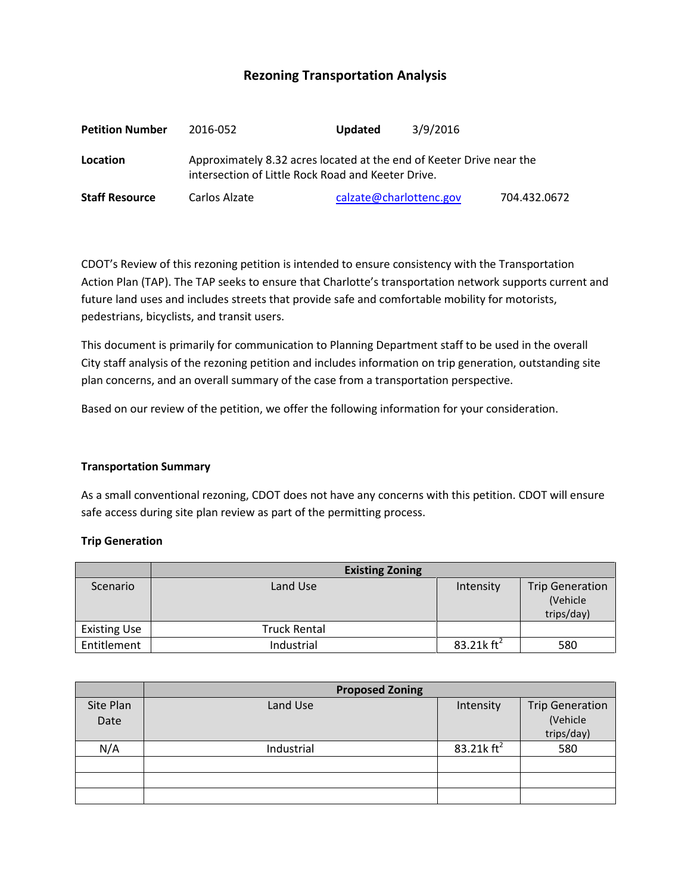# **Rezoning Transportation Analysis**

| <b>Petition Number</b> | 2016-052                                                                                                                   | <b>Updated</b>          | 3/9/2016 |              |  |  |
|------------------------|----------------------------------------------------------------------------------------------------------------------------|-------------------------|----------|--------------|--|--|
| Location               | Approximately 8.32 acres located at the end of Keeter Drive near the<br>intersection of Little Rock Road and Keeter Drive. |                         |          |              |  |  |
| <b>Staff Resource</b>  | Carlos Alzate                                                                                                              | calzate@charlottenc.gov |          | 704.432.0672 |  |  |

CDOT's Review of this rezoning petition is intended to ensure consistency with the Transportation Action Plan (TAP). The TAP seeks to ensure that Charlotte's transportation network supports current and future land uses and includes streets that provide safe and comfortable mobility for motorists, pedestrians, bicyclists, and transit users.

This document is primarily for communication to Planning Department staff to be used in the overall City staff analysis of the rezoning petition and includes information on trip generation, outstanding site plan concerns, and an overall summary of the case from a transportation perspective.

Based on our review of the petition, we offer the following information for your consideration.

#### **Transportation Summary**

As a small conventional rezoning, CDOT does not have any concerns with this petition. CDOT will ensure safe access during site plan review as part of the permitting process.

#### **Trip Generation**

|                     | <b>Existing Zoning</b> |               |                                                   |
|---------------------|------------------------|---------------|---------------------------------------------------|
| Scenario            | Land Use               | Intensity     | <b>Trip Generation</b><br>(Vehicle)<br>trips/day) |
| <b>Existing Use</b> | <b>Truck Rental</b>    |               |                                                   |
| Entitlement         | Industrial             | 83.21k $ft^2$ | 580                                               |

|                   | <b>Proposed Zoning</b> |               |                                    |  |
|-------------------|------------------------|---------------|------------------------------------|--|
| Site Plan<br>Date | Land Use               | Intensity     | <b>Trip Generation</b><br>(Vehicle |  |
|                   |                        |               | trips/day)                         |  |
| N/A               | Industrial             | 83.21k $ft^2$ | 580                                |  |
|                   |                        |               |                                    |  |
|                   |                        |               |                                    |  |
|                   |                        |               |                                    |  |